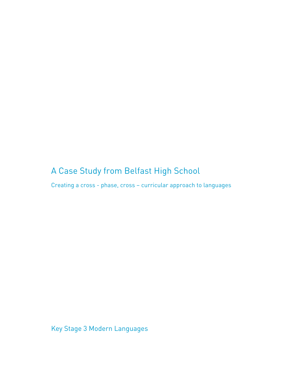# A Case Study from Belfast High School

Creating a cross - phase, cross – curricular approach to languages

Key Stage 3 Modern Languages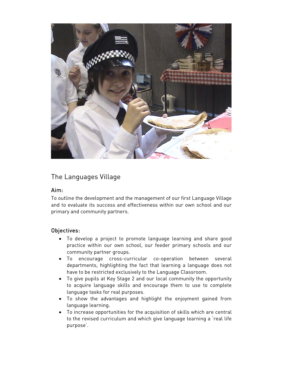

# The Languages Village

### Aim:

To outline the development and the management of our first Language Village and to evaluate its success and effectiveness within our own school and our primary and community partners.

# Objectives:

- To develop a project to promote language learning and share good practice within our own school, our feeder primary schools and our community partner groups.
- To encourage cross-curricular co-operation between several departments, highlighting the fact that learning a language does not have to be restricted exclusively to the Language Classroom.
- To give pupils at Key Stage 2 and our local community the opportunity to acquire language skills and encourage them to use to complete language tasks for real purposes.
- To show the advantages and highlight the enjoyment gained from language learning.
- To increase opportunities for the acquisition of skills which are central to the revised curriculum and which give language learning a 'real life purpose'.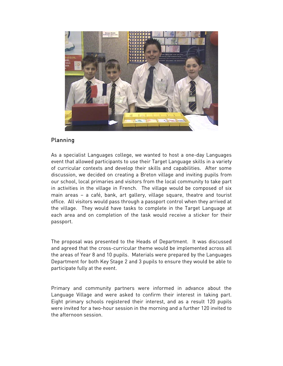

## Planning

As a specialist Languages college, we wanted to host a one-day Languages event that allowed participants to use their Target Language skills in a variety of curricular contexts and develop their skills and capabilities. After some discussion, we decided on creating a Breton village and inviting pupils from our school, local primaries and visitors from the local community to take part in activities in the village in French. The village would be composed of six main areas – a café, bank, art gallery, village square, theatre and tourist office. All visitors would pass through a passport control when they arrived at the village. They would have tasks to complete in the Target Language at each area and on completion of the task would receive a sticker for their passport.

The proposal was presented to the Heads of Department. It was discussed and agreed that the cross-curricular theme would be implemented across all the areas of Year 8 and 10 pupils. Materials were prepared by the Languages Department for both Key Stage 2 and 3 pupils to ensure they would be able to participate fully at the event.

Primary and community partners were informed in advance about the Language Village and were asked to confirm their interest in taking part. Eight primary schools registered their interest, and as a result 120 pupils were invited for a two-hour session in the morning and a further 120 invited to the afternoon session.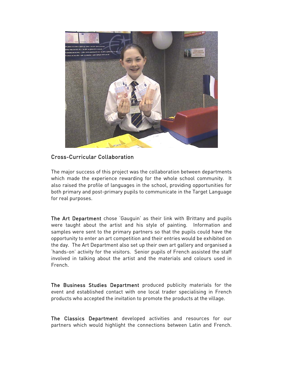

### Cross-Curricular Collaboration

The major success of this project was the collaboration between departments which made the experience rewarding for the whole school community. It also raised the profile of languages in the school, providing opportunities for both primary and post-primary pupils to communicate in the Target Language for real purposes.

The Art Department chose 'Gauguin' as their link with Brittany and pupils were taught about the artist and his style of painting. Information and samples were sent to the primary partners so that the pupils could have the opportunity to enter an art competition and their entries would be exhibited on the day. The Art Department also set up their own art gallery and organised a 'hands-on' activity for the visitors. Senior pupils of French assisted the staff involved in talking about the artist and the materials and colours used in French.

The Business Studies Department produced publicity materials for the event and established contact with one local trader specialising in French products who accepted the invitation to promote the products at the village.

The Classics Department developed activities and resources for our partners which would highlight the connections between Latin and French.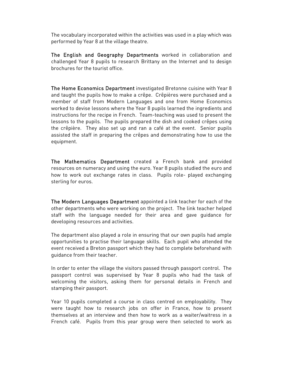The vocabulary incorporated within the activities was used in a play which was performed by Year 8 at the village theatre.

The English and Geography Departments worked in collaboration and challenged Year 8 pupils to research Brittany on the Internet and to design brochures for the tourist office.

The Home Economics Department investigated Bretonne cuisine with Year 8 and taught the pupils how to make a crêpe. Crêpières were purchased and a member of staff from Modern Languages and one from Home Economics worked to devise lessons where the Year 8 pupils learned the ingredients and instructions for the recipe in French. Team-teaching was used to present the lessons to the pupils. The pupils prepared the dish and cooked crêpes using the crêpière. They also set up and ran a café at the event. Senior pupils assisted the staff in preparing the crêpes and demonstrating how to use the equipment.

The Mathematics Department created a French bank and provided resources on numeracy and using the euro. Year 8 pupils studied the euro and how to work out exchange rates in class. Pupils role- played exchanging sterling for euros.

The Modern Languages Department appointed a link teacher for each of the other departments who were working on the project. The link teacher helped staff with the language needed for their area and gave guidance for developing resources and activities.

The department also played a role in ensuring that our own pupils had ample opportunities to practise their language skills. Each pupil who attended the event received a Breton passport which they had to complete beforehand with guidance from their teacher.

In order to enter the village the visitors passed through passport control. The passport control was supervised by Year 8 pupils who had the task of welcoming the visitors, asking them for personal details in French and stamping their passport.

Year 10 pupils completed a course in class centred on employability. They were taught how to research jobs on offer in France, how to present themselves at an interview and then how to work as a waiter/waitress in a French café. Pupils from this year group were then selected to work as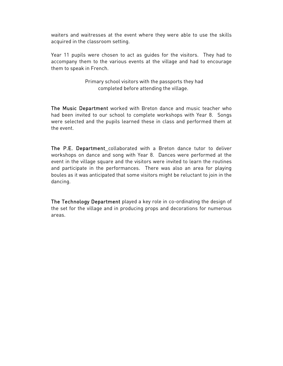waiters and waitresses at the event where they were able to use the skills acquired in the classroom setting.

Year 11 pupils were chosen to act as guides for the visitors. They had to accompany them to the various events at the village and had to encourage them to speak in French.

> Primary school visitors with the passports they had completed before attending the village.

The Music Department worked with Breton dance and music teacher who had been invited to our school to complete workshops with Year 8. Songs were selected and the pupils learned these in class and performed them at the event.

The P.E. Department collaborated with a Breton dance tutor to deliver workshops on dance and song with Year 8. Dances were performed at the event in the village square and the visitors were invited to learn the routines and participate in the performances. There was also an area for playing boules as it was anticipated that some visitors might be reluctant to join in the dancing.

The Technology Department played a key role in co-ordinating the design of the set for the village and in producing props and decorations for numerous areas.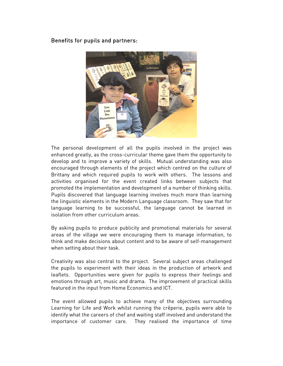Benefits for pupils and partners:



The personal development of all the pupils involved in the project was enhanced greatly, as the cross-curricular theme gave them the opportunity to develop and to improve a variety of skills. Mutual understanding was also encouraged through elements of the project which centred on the culture of Brittany and which required pupils to work with others. The lessons and activities organised for the event created links between subjects that promoted the implementation and development of a number of thinking skills. Pupils discovered that language learning involves much more than learning the linguistic elements in the Modern Language classroom. They saw that for language learning to be successful, the language cannot be learned in isolation from other curriculum areas.

By asking pupils to produce publicity and promotional materials for several areas of the village we were encouraging them to manage information, to think and make decisions about content and to be aware of self-management when setting about their task.

Creativity was also central to the project. Several subject areas challenged the pupils to experiment with their ideas in the production of artwork and leaflets. Opportunities were given for pupils to express their feelings and emotions through art, music and drama. The improvement of practical skills featured in the input from Home Economics and ICT.

The event allowed pupils to achieve many of the objectives surrounding Learning for Life and Work whilst running the crêperie, pupils were able to identify what the careers of chef and waiting staff involved and understand the importance of customer care. They realised the importance of time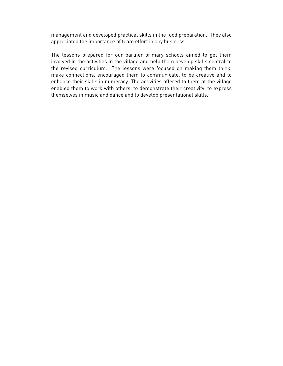management and developed practical skills in the food preparation. They also appreciated the importance of team effort in any business.

The lessons prepared for our partner primary schools aimed to get them involved in the activities in the village and help them develop skills central to the revised curriculum. The lessons were focused on making them think, make connections, encouraged them to communicate, to be creative and to enhance their skills in numeracy. The activities offered to them at the village enabled them to work with others, to demonstrate their creativity, to express themselves in music and dance and to develop presentational skills.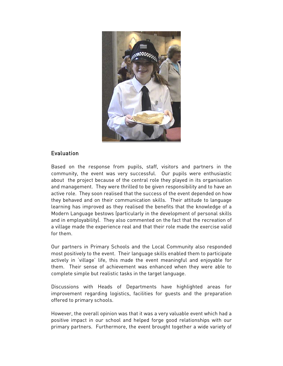

### Evaluation

Based on the response from pupils, staff, visitors and partners in the community, the event was very successful. Our pupils were enthusiastic about the project because of the central role they played in its organisation and management. They were thrilled to be given responsibility and to have an active role. They soon realised that the success of the event depended on how they behaved and on their communication skills. Their attitude to language learning has improved as they realised the benefits that the knowledge of a Modern Language bestows (particularly in the development of personal skills and in employability). They also commented on the fact that the recreation of a village made the experience real and that their role made the exercise valid for them.

Our partners in Primary Schools and the Local Community also responded most positively to the event. Their language skills enabled them to participate actively in 'village' life, this made the event meaningful and enjoyable for them. Their sense of achievement was enhanced when they were able to complete simple but realistic tasks in the target language.

Discussions with Heads of Departments have highlighted areas for improvement regarding logistics, facilities for guests and the preparation offered to primary schools.

However, the overall opinion was that it was a very valuable event which had a positive impact in our school and helped forge good relationships with our primary partners. Furthermore, the event brought together a wide variety of